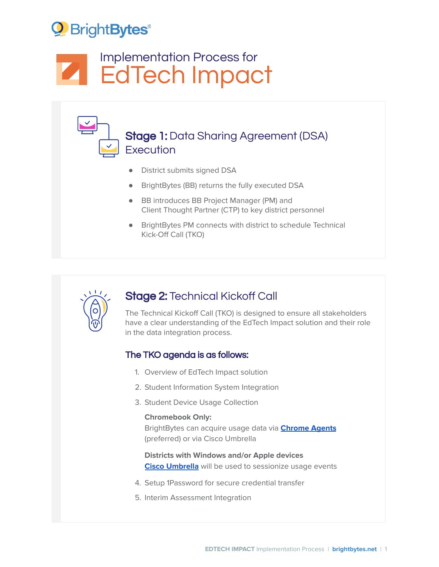# <sup>2</sup> Bright Bytes<sup>®</sup>

# Implementation Process for **A** EdTech Impact

## Stage 1: Data Sharing Agreement (DSA) **Execution**

- District submits signed DSA
- BrightBytes (BB) returns the fully executed DSA
- BB introduces BB Project Manager (PM) and Client Thought Partner (CTP) to key district personnel
- BrightBytes PM connects with district to schedule Technical Kick-Off Call (TKO)



## Stage 2: Technical Kickoff Call

The Technical Kickoff Call (TKO) is designed to ensure all stakeholders have a clear understanding of the EdTech Impact solution and their role in the data integration process.

### The TKO agenda is as follows:

- 1. Overview of EdTech Impact solution
- 2. Student Information System Integration
- 3. Student Device Usage Collection

#### **Chromebook Only:**

BrightBytes can acquire usage data via **[Chrome](https://www.mdek12.org/sites/default/files/Offices/MDE/OTSS/DL/DataCollection/chrome_agent_technical_explainer.pdf) Agents** (preferred) or via Cisco Umbrella

### **Districts with Windows and/or Apple devices Cisco [Umbrella](https://www.mdek12.org/sites/default/files/Offices/MDE/OTSS/DL/DataCollection/cisco_umbrella_technical_explainer_1.pdf)** will be used to sessionize usage events

- 4. Setup 1Password for secure credential transfer
- 5. Interim Assessment Integration